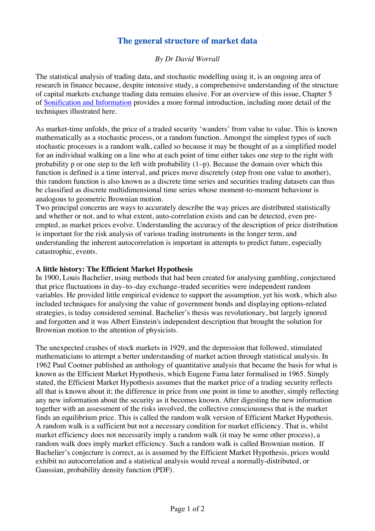## **The general structure of market data**

## *By Dr David Worrall*

The statistical analysis of trading data, and stochastic modelling using it, is an ongoing area of research in finance because, despite intensive study, a comprehensive understanding of the structure of capital markets exchange trading data remains elusive. For an overview of this issue, Chapter 5 of Sonification and Information provides a more formal introduction, including more detail of the techniques illustrated here.

As market-time unfolds, the price of a traded security 'wanders' from value to value. This is known mathematically as a stochastic process, or a random function. Amongst the simplest types of such stochastic processes is a random walk, called so because it may be thought of as a simplified model for an individual walking on a line who at each point of time either takes one step to the right with probability p or one step to the left with probability  $(1-p)$ . Because the domain over which this function is defined is a time interval, and prices move discretely (step from one value to another), this random function is also known as a discrete time series and securities trading datasets can thus be classified as discrete multidimensional time series whose moment-to-moment behaviour is analogous to geometric Brownian motion.

Two principal concerns are ways to accurately describe the way prices are distributed statistically and whether or not, and to what extent, auto-correlation exists and can be detected, even preempted, as market prices evolve. Understanding the accuracy of the description of price distribution is important for the risk analysis of various trading instruments in the longer term, and understanding the inherent autocorrelation is important in attempts to predict future, especially catastrophic, events.

## **A little history: The Efficient Market Hypothesis**

In 1900, Louis Bachelier, using methods that had been created for analysing gambling, conjectured that price fluctuations in day–to–day exchange–traded securities were independent random variables. He provided little empirical evidence to support the assumption, yet his work, which also included techniques for analysing the value of government bonds and displaying options-related strategies, is today considered seminal. Bachelier's thesis was revolutionary, but largely ignored and forgotten and it was Albert Einstein's independent description that brought the solution for Brownian motion to the attention of physicists.

The unexpected crashes of stock markets in 1929, and the depression that followed, stimulated mathematicians to attempt a better understanding of market action through statistical analysis. In 1962 Paul Cootner published an anthology of quantitative analysis that became the basis for what is known as the Efficient Market Hypothesis, which Eugene Fama later formalised in 1965. Simply stated, the Efficient Market Hypothesis assumes that the market price of a trading security reflects all that is known about it; the difference in price from one point in time to another, simply reflecting any new information about the security as it becomes known. After digesting the new information together with an assessment of the risks involved, the collective consciousness that is the market finds an equilibrium price. This is called the random walk version of Efficient Market Hypothesis. A random walk is a sufficient but not a necessary condition for market efficiency. That is, whilst market efficiency does not necessarily imply a random walk (it may be some other process), a random walk does imply market efficiency. Such a random walk is called Brownian motion. If Bachelier's conjecture is correct, as is assumed by the Efficient Market Hypothesis, prices would exhibit no autocorrelation and a statistical analysis would reveal a normally-distributed, or Gaussian, probability density function (PDF).